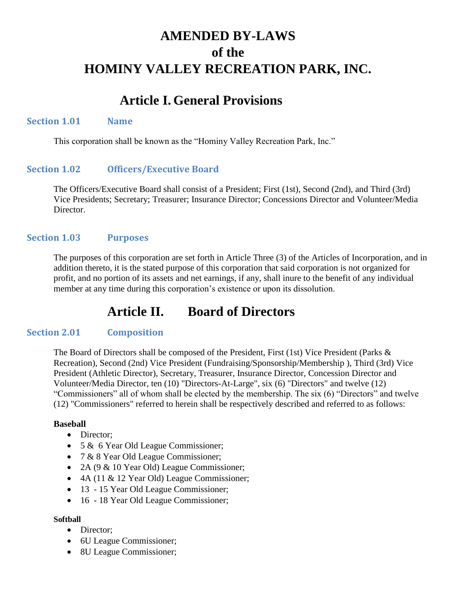# **AMENDED BY-LAWS of the HOMINY VALLEY RECREATION PARK, INC.**

## **Article I. General Provisions**

#### **Section 1.01 Name**

This corporation shall be known as the "Hominy Valley Recreation Park, Inc."

### **Section 1.02 Officers/Executive Board**

The Officers/Executive Board shall consist of a President; First (1st), Second (2nd), and Third (3rd) Vice Presidents; Secretary; Treasurer; Insurance Director; Concessions Director and Volunteer/Media Director.

#### **Section 1.03 Purposes**

The purposes of this corporation are set forth in Article Three (3) of the Articles of Incorporation, and in addition thereto, it is the stated purpose of this corporation that said corporation is not organized for profit, and no portion of its assets and net earnings, if any, shall inure to the benefit of any individual member at any time during this corporation's existence or upon its dissolution.

## **Article II. Board of Directors**

#### **Section 2.01 Composition**

The Board of Directors shall be composed of the President, First (1st) Vice President (Parks & Recreation), Second (2nd) Vice President (Fundraising/Sponsorship/Membership ), Third (3rd) Vice President (Athletic Director), Secretary, Treasurer, Insurance Director, Concession Director and Volunteer/Media Director, ten (10) "Directors-At-Large", six (6) "Directors" and twelve (12) "Commissioners" all of whom shall be elected by the membership. The six (6) "Directors" and twelve (12) "Commissioners" referred to herein shall be respectively described and referred to as follows:

#### **Baseball**

- Director:
- 5 & 6 Year Old League Commissioner;
- 7 & 8 Year Old League Commissioner;
- 2A (9 & 10 Year Old) League Commissioner;
- 4A (11 & 12 Year Old) League Commissioner;
- 13 15 Year Old League Commissioner;
- 16 18 Year Old League Commissioner;

#### **Softball**

- Director:
- 6U League Commissioner;
- 8U League Commissioner;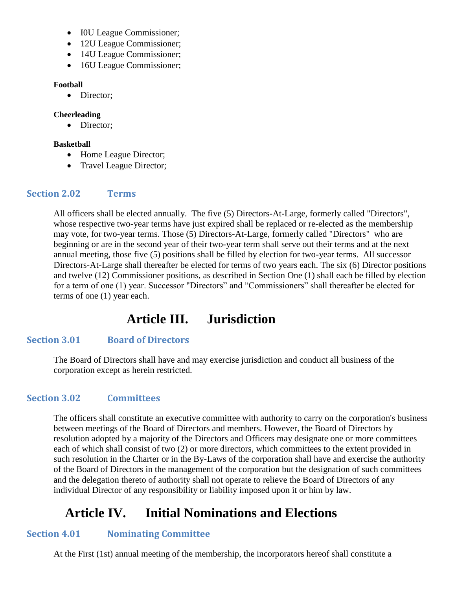- IOU League Commissioner;
- 12U League Commissioner;
- 14U League Commissioner;
- 16U League Commissioner;

#### **Football**

• Director;

#### **Cheerleading**

• Director;

#### **Basketball**

- Home League Director;
- Travel League Director;

### **Section 2.02 Terms**

All officers shall be elected annually. The five (5) Directors-At-Large, formerly called "Directors", whose respective two-year terms have just expired shall be replaced or re-elected as the membership may vote, for two-year terms. Those (5) Directors-At-Large, formerly called "Directors" who are beginning or are in the second year of their two-year term shall serve out their terms and at the next annual meeting, those five (5) positions shall be filled by election for two-year terms. All successor Directors-At-Large shall thereafter be elected for terms of two years each. The six (6) Director positions and twelve (12) Commissioner positions, as described in Section One (1) shall each be filled by election for a term of one (1) year. Successor "Directors" and "Commissioners" shall thereafter be elected for terms of one (1) year each.

# **Article III. Jurisdiction**

### **Section 3.01 Board of Directors**

The Board of Directors shall have and may exercise jurisdiction and conduct all business of the corporation except as herein restricted.

### **Section 3.02 Committees**

The officers shall constitute an executive committee with authority to carry on the corporation's business between meetings of the Board of Directors and members. However, the Board of Directors by resolution adopted by a majority of the Directors and Officers may designate one or more committees each of which shall consist of two (2) or more directors, which committees to the extent provided in such resolution in the Charter or in the By-Laws of the corporation shall have and exercise the authority of the Board of Directors in the management of the corporation but the designation of such committees and the delegation thereto of authority shall not operate to relieve the Board of Directors of any individual Director of any responsibility or liability imposed upon it or him by law.

# **Article IV. Initial Nominations and Elections**

### **Section 4.01 Nominating Committee**

At the First (1st) annual meeting of the membership, the incorporators hereof shall constitute a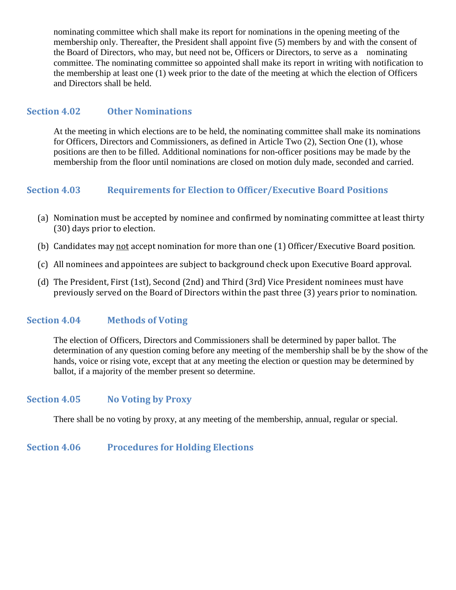nominating committee which shall make its report for nominations in the opening meeting of the membership only. Thereafter, the President shall appoint five (5) members by and with the consent of the Board of Directors, who may, but need not be, Officers or Directors, to serve as a nominating committee. The nominating committee so appointed shall make its report in writing with notification to the membership at least one (1) week prior to the date of the meeting at which the election of Officers and Directors shall be held.

#### **Section 4.02 Other Nominations**

At the meeting in which elections are to be held, the nominating committee shall make its nominations for Officers, Directors and Commissioners, as defined in Article Two (2), Section One (1), whose positions are then to be filled. Additional nominations for non-officer positions may be made by the membership from the floor until nominations are closed on motion duly made, seconded and carried.

#### **Section 4.03 Requirements for Election to Officer/Executive Board Positions**

- (a) Nomination must be accepted by nominee and confirmed by nominating committee at least thirty (30) days prior to election.
- (b) Candidates may not accept nomination for more than one (1) Officer/Executive Board position.
- (c) All nominees and appointees are subject to background check upon Executive Board approval.
- (d) The President, First (1st), Second (2nd) and Third (3rd) Vice President nominees must have previously served on the Board of Directors within the past three (3) years prior to nomination.

#### **Section 4.04 Methods of Voting**

The election of Officers, Directors and Commissioners shall be determined by paper ballot. The determination of any question coming before any meeting of the membership shall be by the show of the hands, voice or rising vote, except that at any meeting the election or question may be determined by ballot, if a majority of the member present so determine.

#### **Section 4.05 No Voting by Proxy**

There shall be no voting by proxy, at any meeting of the membership, annual, regular or special.

#### **Section 4.06 Procedures for Holding Elections**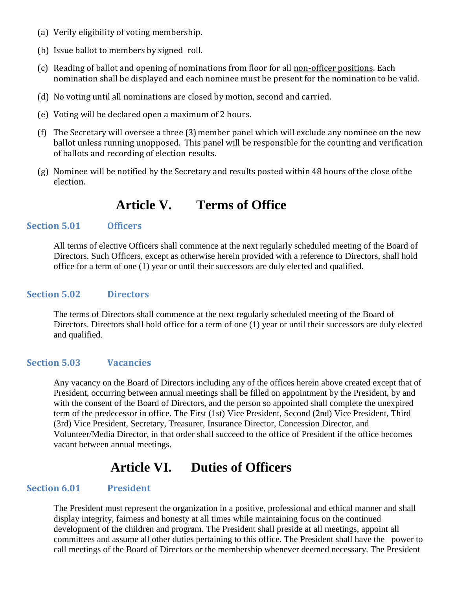- (a) Verify eligibility of voting membership.
- (b) Issue ballot to members by signed roll.
- (c) Reading of ballot and opening of nominations from floor for all non-officer positions. Each nomination shall be displayed and each nominee must be present for the nomination to be valid.
- (d) No voting until all nominations are closed by motion, second and carried.
- (e) Voting will be declared open a maximum of 2 hours.
- (f) The Secretary will oversee a three (3) member panel which will exclude any nominee on the new ballot unless running unopposed. This panel will be responsible for the counting and verification of ballots and recording of election results.
- (g) Nominee will be notified by the Secretary and results posted within 48 hours of the close of the election.

### **Article V. Terms of Office**

#### **Section 5.01 Officers**

All terms of elective Officers shall commence at the next regularly scheduled meeting of the Board of Directors. Such Officers, except as otherwise herein provided with a reference to Directors, shall hold office for a term of one (1) year or until their successors are duly elected and qualified.

#### **Section 5.02 Directors**

The terms of Directors shall commence at the next regularly scheduled meeting of the Board of Directors. Directors shall hold office for a term of one (1) year or until their successors are duly elected and qualified.

#### **Section 5.03 Vacancies**

Any vacancy on the Board of Directors including any of the offices herein above created except that of President, occurring between annual meetings shall be filled on appointment by the President, by and with the consent of the Board of Directors, and the person so appointed shall complete the unexpired term of the predecessor in office. The First (1st) Vice President, Second (2nd) Vice President, Third (3rd) Vice President, Secretary, Treasurer, Insurance Director, Concession Director, and Volunteer/Media Director, in that order shall succeed to the office of President if the office becomes vacant between annual meetings.

## **Article VI. Duties of Officers**

#### **Section 6.01 President**

The President must represent the organization in a positive, professional and ethical manner and shall display integrity, fairness and honesty at all times while maintaining focus on the continued development of the children and program. The President shall preside at all meetings, appoint all committees and assume all other duties pertaining to this office. The President shall have the power to call meetings of the Board of Directors or the membership whenever deemed necessary. The President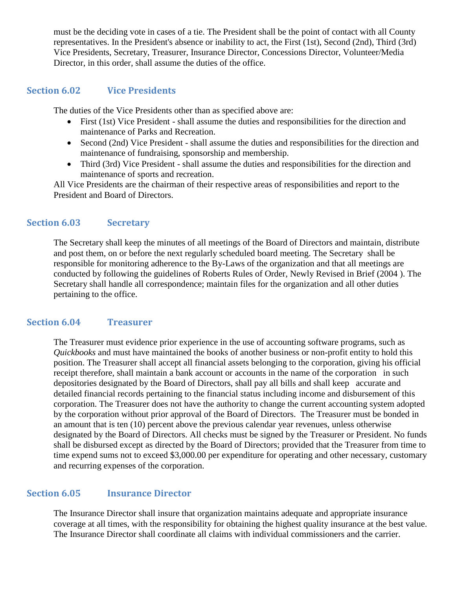must be the deciding vote in cases of a tie. The President shall be the point of contact with all County representatives. In the President's absence or inability to act, the First (1st), Second (2nd), Third (3rd) Vice Presidents, Secretary, Treasurer, Insurance Director, Concessions Director, Volunteer/Media Director, in this order, shall assume the duties of the office.

#### **Section 6.02 Vice Presidents**

The duties of the Vice Presidents other than as specified above are:

- First (1st) Vice President shall assume the duties and responsibilities for the direction and maintenance of Parks and Recreation.
- Second (2nd) Vice President shall assume the duties and responsibilities for the direction and maintenance of fundraising, sponsorship and membership.
- Third (3rd) Vice President shall assume the duties and responsibilities for the direction and maintenance of sports and recreation.

All Vice Presidents are the chairman of their respective areas of responsibilities and report to the President and Board of Directors.

#### **Section 6.03 Secretary**

The Secretary shall keep the minutes of all meetings of the Board of Directors and maintain, distribute and post them, on or before the next regularly scheduled board meeting. The Secretary shall be responsible for monitoring adherence to the By-Laws of the organization and that all meetings are conducted by following the guidelines of Roberts Rules of Order, Newly Revised in Brief (2004 ). The Secretary shall handle all correspondence; maintain files for the organization and all other duties pertaining to the office.

#### **Section 6.04 Treasurer**

The Treasurer must evidence prior experience in the use of accounting software programs, such as *Quickbooks* and must have maintained the books of another business or non-profit entity to hold this position. The Treasurer shall accept all financial assets belonging to the corporation, giving his official receipt therefore, shall maintain a bank account or accounts in the name of the corporation in such depositories designated by the Board of Directors, shall pay all bills and shall keep accurate and detailed financial records pertaining to the financial status including income and disbursement of this corporation. The Treasurer does not have the authority to change the current accounting system adopted by the corporation without prior approval of the Board of Directors. The Treasurer must be bonded in an amount that is ten (10) percent above the previous calendar year revenues, unless otherwise designated by the Board of Directors. All checks must be signed by the Treasurer or President. No funds shall be disbursed except as directed by the Board of Directors; provided that the Treasurer from time to time expend sums not to exceed \$3,000.00 per expenditure for operating and other necessary, customary and recurring expenses of the corporation.

#### **Section 6.05 Insurance Director**

The Insurance Director shall insure that organization maintains adequate and appropriate insurance coverage at all times, with the responsibility for obtaining the highest quality insurance at the best value. The Insurance Director shall coordinate all claims with individual commissioners and the carrier.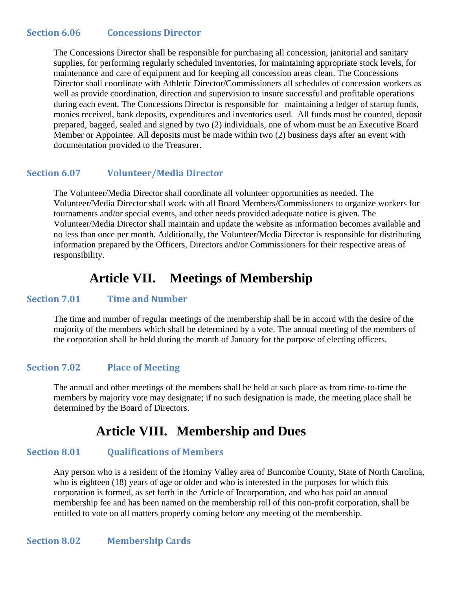#### **Section 6.06 Concessions Director**

The Concessions Director shall be responsible for purchasing all concession, janitorial and sanitary supplies, for performing regularly scheduled inventories, for maintaining appropriate stock levels, for maintenance and care of equipment and for keeping all concession areas clean. The Concessions Director shall coordinate with Athletic Director/Commissioners all schedules of concession workers as well as provide coordination, direction and supervision to insure successful and profitable operations during each event. The Concessions Director is responsible for maintaining a ledger of startup funds, monies received, bank deposits, expenditures and inventories used. All funds must be counted, deposit prepared, bagged, sealed and signed by two (2) individuals, one of whom must be an Executive Board Member or Appointee. All deposits must be made within two (2) business days after an event with documentation provided to the Treasurer.

#### **Section 6.07 Volunteer/Media Director**

The Volunteer/Media Director shall coordinate all volunteer opportunities as needed. The Volunteer/Media Director shall work with all Board Members/Commissioners to organize workers for tournaments and/or special events, and other needs provided adequate notice is given. The Volunteer/Media Director shall maintain and update the website as information becomes available and no less than once per month. Additionally, the Volunteer/Media Director is responsible for distributing information prepared by the Officers, Directors and/or Commissioners for their respective areas of responsibility.

### **Article VII. Meetings of Membership**

#### **Section 7.01 Time and Number**

The time and number of regular meetings of the membership shall be in accord with the desire of the majority of the members which shall be determined by a vote. The annual meeting of the members of the corporation shall be held during the month of January for the purpose of electing officers.

#### **Section 7.02 Place of Meeting**

The annual and other meetings of the members shall be held at such place as from time-to-time the members by majority vote may designate; if no such designation is made, the meeting place shall be determined by the Board of Directors.

### **Article VIII. Membership and Dues**

#### **Section 8.01 Qualifications of Members**

Any person who is a resident of the Hominy Valley area of Buncombe County, State of North Carolina, who is eighteen (18) years of age or older and who is interested in the purposes for which this corporation is formed, as set forth in the Article of Incorporation, and who has paid an annual membership fee and has been named on the membership roll of this non-profit corporation, shall be entitled to vote on all matters properly coming before any meeting of the membership.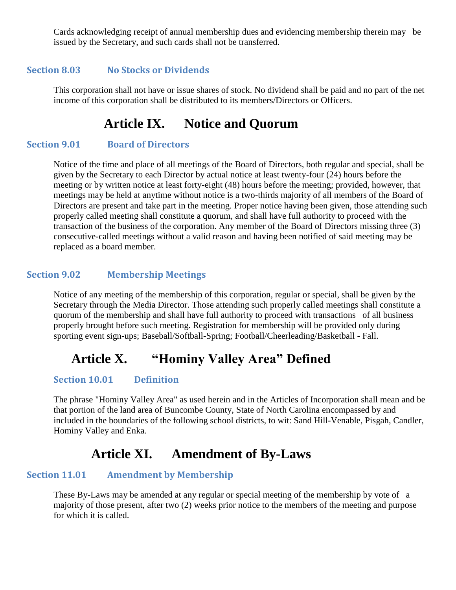Cards acknowledging receipt of annual membership dues and evidencing membership therein may be issued by the Secretary, and such cards shall not be transferred.

#### **Section 8.03 No Stocks or Dividends**

This corporation shall not have or issue shares of stock. No dividend shall be paid and no part of the net income of this corporation shall be distributed to its members/Directors or Officers.

# **Article IX. Notice and Quorum**

#### **Section 9.01 Board of Directors**

Notice of the time and place of all meetings of the Board of Directors, both regular and special, shall be given by the Secretary to each Director by actual notice at least twenty-four (24) hours before the meeting or by written notice at least forty-eight (48) hours before the meeting; provided, however, that meetings may be held at anytime without notice is a two-thirds majority of all members of the Board of Directors are present and take part in the meeting. Proper notice having been given, those attending such properly called meeting shall constitute a quorum, and shall have full authority to proceed with the transaction of the business of the corporation. Any member of the Board of Directors missing three (3) consecutive-called meetings without a valid reason and having been notified of said meeting may be replaced as a board member.

#### **Section 9.02 Membership Meetings**

Notice of any meeting of the membership of this corporation, regular or special, shall be given by the Secretary through the Media Director. Those attending such properly called meetings shall constitute a quorum of the membership and shall have full authority to proceed with transactions of all business properly brought before such meeting. Registration for membership will be provided only during sporting event sign-ups; Baseball/Softball-Spring; Football/Cheerleading/Basketball - Fall.

# **Article X. "Hominy Valley Area" Defined**

#### **Section 10.01 Definition**

The phrase "Hominy Valley Area" as used herein and in the Articles of Incorporation shall mean and be that portion of the land area of Buncombe County, State of North Carolina encompassed by and included in the boundaries of the following school districts, to wit: Sand Hill-Venable, Pisgah, Candler, Hominy Valley and Enka.

## **Article XI. Amendment of By-Laws**

#### **Section 11.01 Amendment by Membership**

These By-Laws may be amended at any regular or special meeting of the membership by vote of a majority of those present, after two (2) weeks prior notice to the members of the meeting and purpose for which it is called.